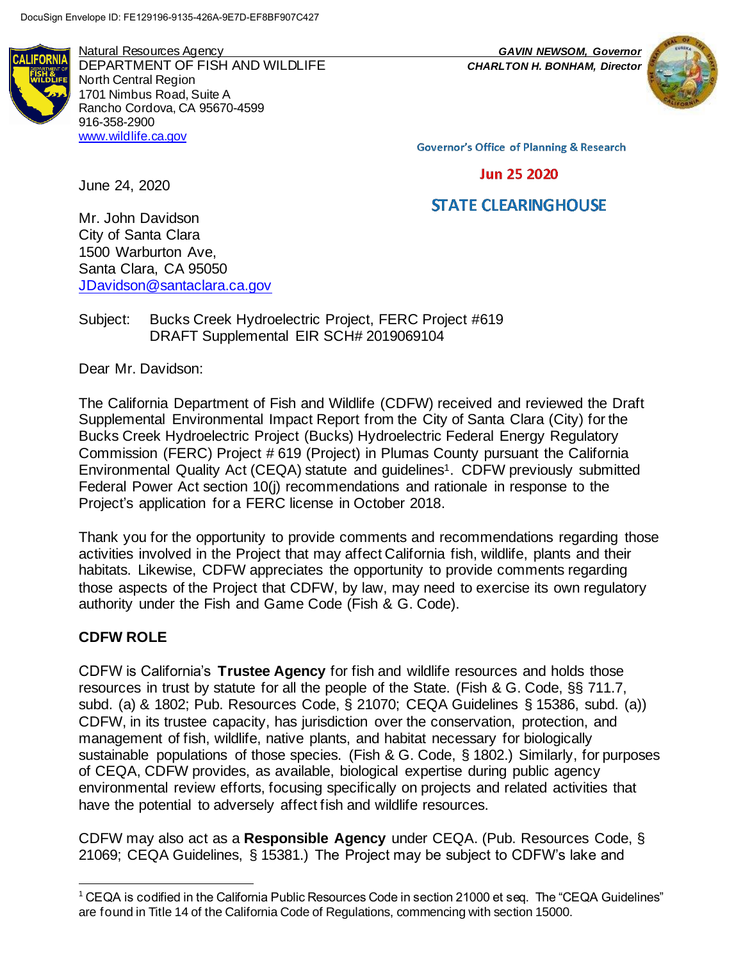Natural Resources Agency *GAVIN NEWSOM, Governor* DEPARTMENT OF FISH AND WILDLIFE *CHARLTON H. BONHAM, Director* North Central Region 1701 Nimbus Road, Suite A Rancho Cordova, CA 95670-4599 916-358-2900 [www.wildlife.ca.gov](http://www.wildlife.ca.gov/)

**Governor's Office of Planning & Research** 

#### **Jun 25 2020**

# **STATE CLEARINGHOUSE**

Mr. John Davidson City of Santa Clara 1500 Warburton Ave, Santa Clara, CA 95050 [JDavidson@santaclara.ca.gov](mailto:JDavidson@santaclara.ca.gov)

Subject: Bucks Creek Hydroelectric Project, FERC Project #619 DRAFT Supplemental EIR SCH# 2019069104

Dear Mr. Davidson:

June 24, 2020

The California Department of Fish and Wildlife (CDFW) received and reviewed the Draft Supplemental Environmental Impact Report from the City of Santa Clara (City) for the Bucks Creek Hydroelectric Project (Bucks) Hydroelectric Federal Energy Regulatory Commission (FERC) Project # 619 (Project) in Plumas County pursuant the California Environmental Quality Act (CEQA) statute and quidelines<sup>1</sup>. CDFW previously submitted Federal Power Act section 10(j) recommendations and rationale in response to the Project's application for a FERC license in October 2018.

Thank you for the opportunity to provide comments and recommendations regarding those activities involved in the Project that may affect California fish, wildlife, plants and their habitats. Likewise, CDFW appreciates the opportunity to provide comments regarding those aspects of the Project that CDFW, by law, may need to exercise its own regulatory authority under the Fish and Game Code (Fish & G. Code).

# **CDFW ROLE**

CDFW is California's **Trustee Agency** for fish and wildlife resources and holds those resources in trust by statute for all the people of the State. (Fish & G. Code, §§ 711.7, subd. (a) & 1802; Pub. Resources Code, § 21070; CEQA Guidelines § 15386, subd. (a)) CDFW, in its trustee capacity, has jurisdiction over the conservation, protection, and management of fish, wildlife, native plants, and habitat necessary for biologically sustainable populations of those species. (Fish & G. Code, § 1802.) Similarly, for purposes of CEQA, CDFW provides, as available, biological expertise during public agency environmental review efforts, focusing specifically on projects and related activities that have the potential to adversely affect fish and wildlife resources.

CDFW may also act as a **Responsible Agency** under CEQA. (Pub. Resources Code, § 21069; CEQA Guidelines, § 15381.) The Project may be subject to CDFW's lake and

<sup>1</sup> CEQA is codified in the California Public Resources Code in section 21000 et seq. The "CEQA Guidelines" are found in Title 14 of the California Code of Regulations, commencing with section 15000.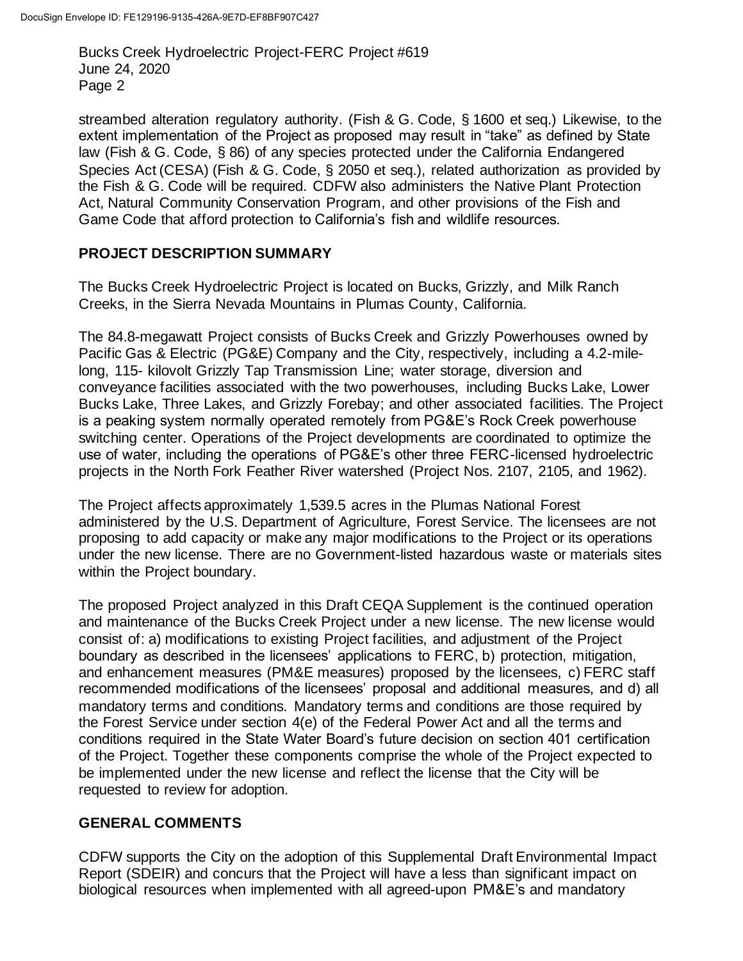Bucks Creek Hydroelectric Project-FERC Project #619 June 24, 2020 Page 2

streambed alteration regulatory authority. (Fish & G. Code, § 1600 et seq.) Likewise, to the extent implementation of the Project as proposed may result in "take" as defined by State law (Fish & G. Code, § 86) of any species protected under the California Endangered Species Act (CESA) (Fish & G. Code, § 2050 et seq.), related authorization as provided by the Fish & G. Code will be required. CDFW also administers the Native Plant Protection Act, Natural Community Conservation Program, and other provisions of the Fish and Game Code that afford protection to California's fish and wildlife resources.

## **PROJECT DESCRIPTION SUMMARY**

The Bucks Creek Hydroelectric Project is located on Bucks, Grizzly, and Milk Ranch Creeks, in the Sierra Nevada Mountains in Plumas County, California.

The 84.8-megawatt Project consists of Bucks Creek and Grizzly Powerhouses owned by Pacific Gas & Electric (PG&E) Company and the City, respectively, including a 4.2-milelong, 115- kilovolt Grizzly Tap Transmission Line; water storage, diversion and conveyance facilities associated with the two powerhouses, including Bucks Lake, Lower Bucks Lake, Three Lakes, and Grizzly Forebay; and other associated facilities. The Project is a peaking system normally operated remotely from PG&E's Rock Creek powerhouse switching center. Operations of the Project developments are coordinated to optimize the use of water, including the operations of PG&E's other three FERC-licensed hydroelectric projects in the North Fork Feather River watershed (Project Nos. 2107, 2105, and 1962).

The Project affects approximately 1,539.5 acres in the Plumas National Forest administered by the U.S. Department of Agriculture, Forest Service. The licensees are not proposing to add capacity or make any major modifications to the Project or its operations under the new license. There are no Government-listed hazardous waste or materials sites within the Project boundary.

The proposed Project analyzed in this Draft CEQA Supplement is the continued operation and maintenance of the Bucks Creek Project under a new license. The new license would consist of: a) modifications to existing Project facilities, and adjustment of the Project boundary as described in the licensees' applications to FERC, b) protection, mitigation, and enhancement measures (PM&E measures) proposed by the licensees, c) FERC staff recommended modifications of the licensees' proposal and additional measures, and d) all mandatory terms and conditions. Mandatory terms and conditions are those required by the Forest Service under section 4(e) of the Federal Power Act and all the terms and conditions required in the State Water Board's future decision on section 401 certification of the Project. Together these components comprise the whole of the Project expected to be implemented under the new license and reflect the license that the City will be requested to review for adoption.

#### **GENERAL COMMENTS**

CDFW supports the City on the adoption of this Supplemental Draft Environmental Impact Report (SDEIR) and concurs that the Project will have a less than significant impact on biological resources when implemented with all agreed-upon PM&E's and mandatory